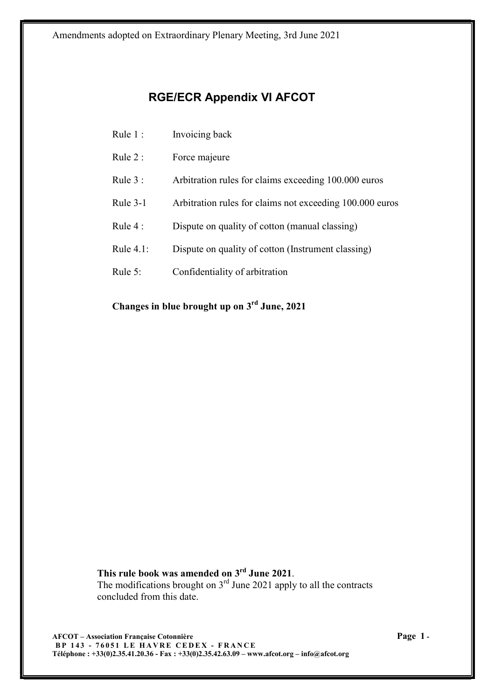Amendments adopted on Extraordinary Plenary Meeting, 3rd June 2021

# RGE/ECR Appendix VI AFCOT

- Rule 1 : Invoicing back
- Rule 2 : Force majeure
- Rule 3 : Arbitration rules for claims exceeding 100.000 euros
- Rule 3-1 Arbitration rules for claims not exceeding 100.000 euros
- Rule 4 : Dispute on quality of cotton (manual classing)
- Rule 4.1: Dispute on quality of cotton (Instrument classing)
- Rule 5: Confidentiality of arbitration

Changes in blue brought up on 3rd June, 2021

This rule book was amended on 3<sup>rd</sup> June 2021. The modifications brought on  $3<sup>rd</sup>$  June 2021 apply to all the contracts concluded from this date.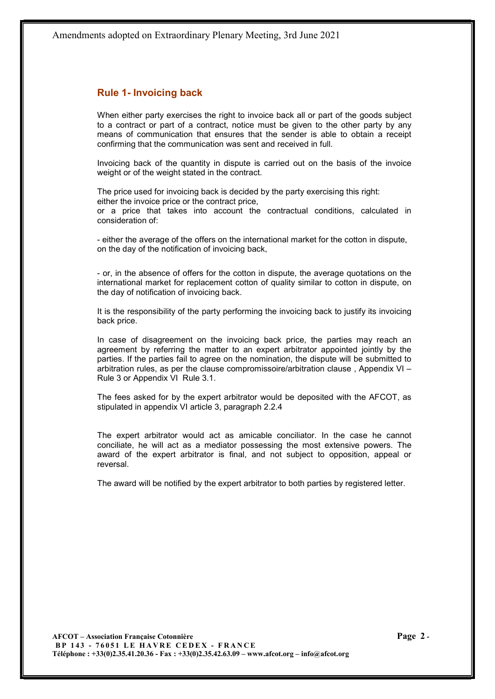## Rule 1- Invoicing back

When either party exercises the right to invoice back all or part of the goods subject to a contract or part of a contract, notice must be given to the other party by any means of communication that ensures that the sender is able to obtain a receipt confirming that the communication was sent and received in full.

Invoicing back of the quantity in dispute is carried out on the basis of the invoice weight or of the weight stated in the contract.

The price used for invoicing back is decided by the party exercising this right: either the invoice price or the contract price, or a price that takes into account the contractual conditions, calculated in consideration of:

- either the average of the offers on the international market for the cotton in dispute, on the day of the notification of invoicing back,

- or, in the absence of offers for the cotton in dispute, the average quotations on the international market for replacement cotton of quality similar to cotton in dispute, on the day of notification of invoicing back.

It is the responsibility of the party performing the invoicing back to justify its invoicing back price.

In case of disagreement on the invoicing back price, the parties may reach an agreement by referring the matter to an expert arbitrator appointed jointly by the parties. If the parties fail to agree on the nomination, the dispute will be submitted to arbitration rules, as per the clause compromissoire/arbitration clause , Appendix VI – Rule 3 or Appendix VI Rule 3.1.

The fees asked for by the expert arbitrator would be deposited with the AFCOT, as stipulated in appendix VI article 3, paragraph 2.2.4

The expert arbitrator would act as amicable conciliator. In the case he cannot conciliate, he will act as a mediator possessing the most extensive powers. The award of the expert arbitrator is final, and not subject to opposition, appeal or reversal.

The award will be notified by the expert arbitrator to both parties by registered letter.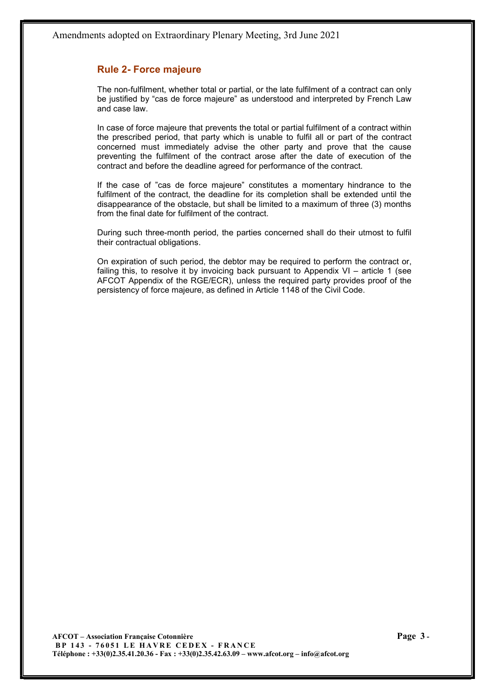## Rule 2- Force majeure

The non-fulfilment, whether total or partial, or the late fulfilment of a contract can only be justified by "cas de force majeure" as understood and interpreted by French Law and case law.

In case of force majeure that prevents the total or partial fulfilment of a contract within the prescribed period, that party which is unable to fulfil all or part of the contract concerned must immediately advise the other party and prove that the cause preventing the fulfilment of the contract arose after the date of execution of the contract and before the deadline agreed for performance of the contract.

If the case of "cas de force majeure" constitutes a momentary hindrance to the fulfilment of the contract, the deadline for its completion shall be extended until the disappearance of the obstacle, but shall be limited to a maximum of three (3) months from the final date for fulfilment of the contract.

During such three-month period, the parties concerned shall do their utmost to fulfil their contractual obligations.

On expiration of such period, the debtor may be required to perform the contract or, failing this, to resolve it by invoicing back pursuant to Appendix VI – article 1 (see AFCOT Appendix of the RGE/ECR), unless the required party provides proof of the persistency of force majeure, as defined in Article 1148 of the Civil Code.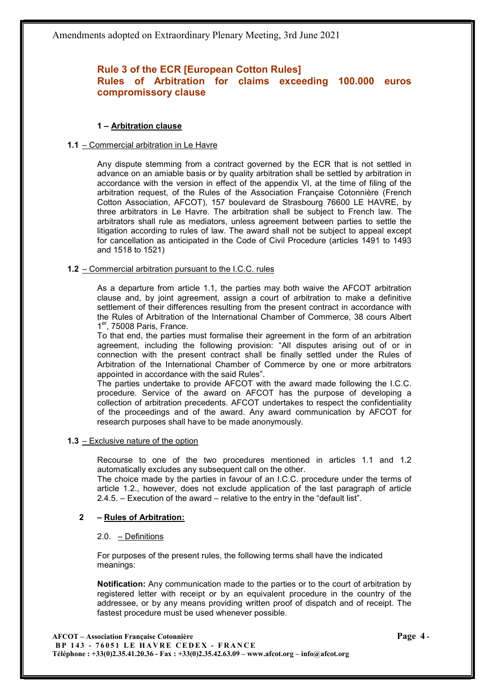# Rule 3 of the ECR [European Cotton Rules] Rules of Arbitration for claims exceeding 100.000 euros compromissory clause

## 1 – Arbitration clause

## 1.1 – Commercial arbitration in Le Havre

Any dispute stemming from a contract governed by the ECR that is not settled in advance on an amiable basis or by quality arbitration shall be settled by arbitration in accordance with the version in effect of the appendix VI, at the time of filing of the arbitration request, of the Rules of the Association Française Cotonnière (French Cotton Association, AFCOT), 157 boulevard de Strasbourg 76600 LE HAVRE, by three arbitrators in Le Havre. The arbitration shall be subject to French law. The arbitrators shall rule as mediators, unless agreement between parties to settle the litigation according to rules of law. The award shall not be subject to appeal except for cancellation as anticipated in the Code of Civil Procedure (articles 1491 to 1493 and 1518 to 1521)

## 1.2 – Commercial arbitration pursuant to the I.C.C. rules

As a departure from article 1.1, the parties may both waive the AFCOT arbitration clause and, by joint agreement, assign a court of arbitration to make a definitive settlement of their differences resulting from the present contract in accordance with the Rules of Arbitration of the International Chamber of Commerce, 38 cours Albert 1<sup>er</sup>, 75008 Paris, France.

To that end, the parties must formalise their agreement in the form of an arbitration agreement, including the following provision: "All disputes arising out of or in connection with the present contract shall be finally settled under the Rules of Arbitration of the International Chamber of Commerce by one or more arbitrators appointed in accordance with the said Rules".

The parties undertake to provide AFCOT with the award made following the I.C.C. procedure. Service of the award on AFCOT has the purpose of developing a collection of arbitration precedents. AFCOT undertakes to respect the confidentiality of the proceedings and of the award. Any award communication by AFCOT for research purposes shall have to be made anonymously.

#### 1.3 – Exclusive nature of the option

Recourse to one of the two procedures mentioned in articles 1.1 and 1.2 automatically excludes any subsequent call on the other.

The choice made by the parties in favour of an I.C.C. procedure under the terms of article 1.2., however, does not exclude application of the last paragraph of article 2.4.5. – Execution of the award – relative to the entry in the "default list".

## 2 – Rules of Arbitration:

#### 2.0. – Definitions

For purposes of the present rules, the following terms shall have the indicated meanings:

Notification: Any communication made to the parties or to the court of arbitration by registered letter with receipt or by an equivalent procedure in the country of the addressee, or by any means providing written proof of dispatch and of receipt. The fastest procedure must be used whenever possible.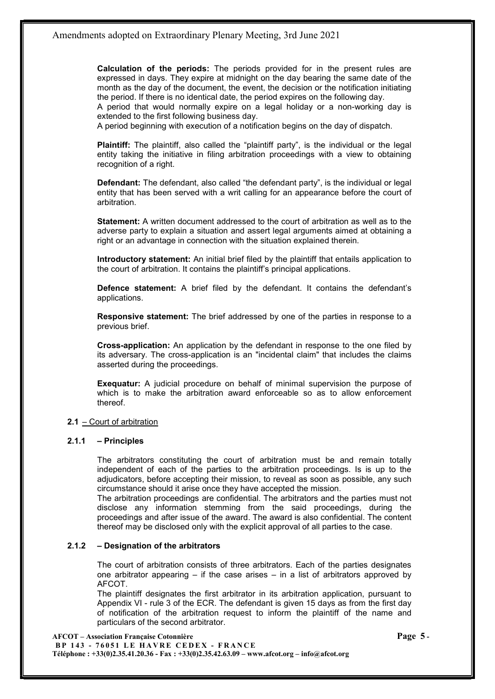Calculation of the periods: The periods provided for in the present rules are expressed in days. They expire at midnight on the day bearing the same date of the month as the day of the document, the event, the decision or the notification initiating the period. If there is no identical date, the period expires on the following day.

A period that would normally expire on a legal holiday or a non-working day is extended to the first following business day.

A period beginning with execution of a notification begins on the day of dispatch.

Plaintiff: The plaintiff, also called the "plaintiff party", is the individual or the legal entity taking the initiative in filing arbitration proceedings with a view to obtaining recognition of a right.

Defendant: The defendant, also called "the defendant party", is the individual or legal entity that has been served with a writ calling for an appearance before the court of arbitration.

Statement: A written document addressed to the court of arbitration as well as to the adverse party to explain a situation and assert legal arguments aimed at obtaining a right or an advantage in connection with the situation explained therein.

Introductory statement: An initial brief filed by the plaintiff that entails application to the court of arbitration. It contains the plaintiff's principal applications.

Defence statement: A brief filed by the defendant. It contains the defendant's applications.

Responsive statement: The brief addressed by one of the parties in response to a previous brief.

Cross-application: An application by the defendant in response to the one filed by its adversary. The cross-application is an "incidental claim" that includes the claims asserted during the proceedings.

Exequatur: A judicial procedure on behalf of minimal supervision the purpose of which is to make the arbitration award enforceable so as to allow enforcement thereof.

#### 2.1 – Court of arbitration

#### 2.1.1 – Principles

The arbitrators constituting the court of arbitration must be and remain totally independent of each of the parties to the arbitration proceedings. Is is up to the adjudicators, before accepting their mission, to reveal as soon as possible, any such circumstance should it arise once they have accepted the mission.

The arbitration proceedings are confidential. The arbitrators and the parties must not disclose any information stemming from the said proceedings, during the proceedings and after issue of the award. The award is also confidential. The content thereof may be disclosed only with the explicit approval of all parties to the case.

#### 2.1.2 – Designation of the arbitrators

The court of arbitration consists of three arbitrators. Each of the parties designates one arbitrator appearing – if the case arises – in a list of arbitrators approved by AFCOT.

The plaintiff designates the first arbitrator in its arbitration application, pursuant to Appendix VI - rule 3 of the ECR. The defendant is given 15 days as from the first day of notification of the arbitration request to inform the plaintiff of the name and particulars of the second arbitrator.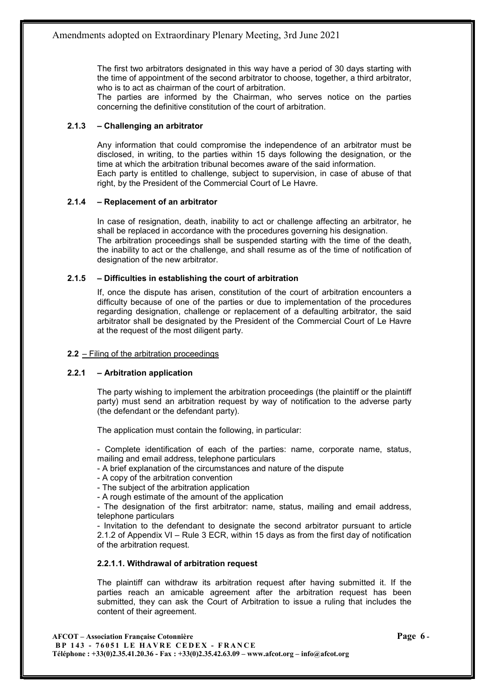The first two arbitrators designated in this way have a period of 30 days starting with the time of appointment of the second arbitrator to choose, together, a third arbitrator, who is to act as chairman of the court of arbitration.

The parties are informed by the Chairman, who serves notice on the parties concerning the definitive constitution of the court of arbitration.

## 2.1.3 – Challenging an arbitrator

Any information that could compromise the independence of an arbitrator must be disclosed, in writing, to the parties within 15 days following the designation, or the time at which the arbitration tribunal becomes aware of the said information. Each party is entitled to challenge, subject to supervision, in case of abuse of that right, by the President of the Commercial Court of Le Havre.

## 2.1.4 – Replacement of an arbitrator

In case of resignation, death, inability to act or challenge affecting an arbitrator, he shall be replaced in accordance with the procedures governing his designation. The arbitration proceedings shall be suspended starting with the time of the death, the inability to act or the challenge, and shall resume as of the time of notification of designation of the new arbitrator.

## 2.1.5 – Difficulties in establishing the court of arbitration

If, once the dispute has arisen, constitution of the court of arbitration encounters a difficulty because of one of the parties or due to implementation of the procedures regarding designation, challenge or replacement of a defaulting arbitrator, the said arbitrator shall be designated by the President of the Commercial Court of Le Havre at the request of the most diligent party.

#### 2.2 – Filing of the arbitration proceedings

## 2.2.1 – Arbitration application

The party wishing to implement the arbitration proceedings (the plaintiff or the plaintiff party) must send an arbitration request by way of notification to the adverse party (the defendant or the defendant party).

The application must contain the following, in particular:

- Complete identification of each of the parties: name, corporate name, status, mailing and email address, telephone particulars

- A brief explanation of the circumstances and nature of the dispute

- A copy of the arbitration convention

- The subject of the arbitration application

- A rough estimate of the amount of the application

- The designation of the first arbitrator: name, status, mailing and email address, telephone particulars

- Invitation to the defendant to designate the second arbitrator pursuant to article 2.1.2 of Appendix VI – Rule 3 ECR, within 15 days as from the first day of notification of the arbitration request.

#### 2.2.1.1. Withdrawal of arbitration request

The plaintiff can withdraw its arbitration request after having submitted it. If the parties reach an amicable agreement after the arbitration request has been submitted, they can ask the Court of Arbitration to issue a ruling that includes the content of their agreement.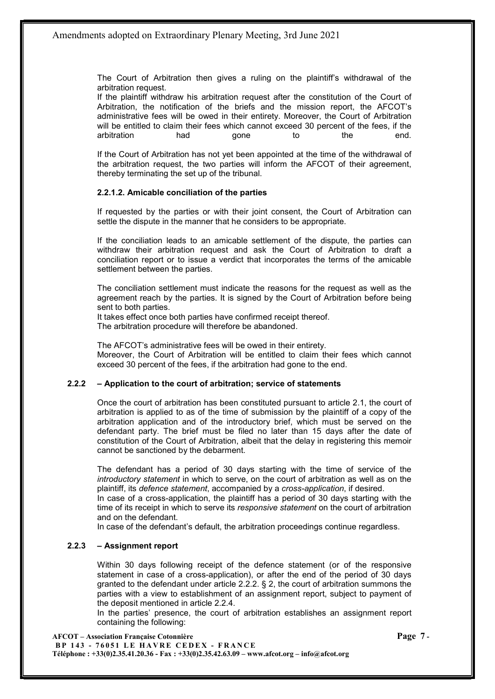The Court of Arbitration then gives a ruling on the plaintiff's withdrawal of the arbitration request.

If the plaintiff withdraw his arbitration request after the constitution of the Court of Arbitration, the notification of the briefs and the mission report, the AFCOT's administrative fees will be owed in their entirety. Moreover, the Court of Arbitration will be entitled to claim their fees which cannot exceed 30 percent of the fees, if the arbitration had gone to the end.

If the Court of Arbitration has not yet been appointed at the time of the withdrawal of the arbitration request, the two parties will inform the AFCOT of their agreement, thereby terminating the set up of the tribunal.

## 2.2.1.2. Amicable conciliation of the parties

If requested by the parties or with their joint consent, the Court of Arbitration can settle the dispute in the manner that he considers to be appropriate.

If the conciliation leads to an amicable settlement of the dispute, the parties can withdraw their arbitration request and ask the Court of Arbitration to draft a conciliation report or to issue a verdict that incorporates the terms of the amicable settlement between the parties.

The conciliation settlement must indicate the reasons for the request as well as the agreement reach by the parties. It is signed by the Court of Arbitration before being sent to both parties.

It takes effect once both parties have confirmed receipt thereof. The arbitration procedure will therefore be abandoned.

The AFCOT's administrative fees will be owed in their entirety. Moreover, the Court of Arbitration will be entitled to claim their fees which cannot exceed 30 percent of the fees, if the arbitration had gone to the end.

#### 2.2.2 – Application to the court of arbitration; service of statements

Once the court of arbitration has been constituted pursuant to article 2.1, the court of arbitration is applied to as of the time of submission by the plaintiff of a copy of the arbitration application and of the introductory brief, which must be served on the defendant party. The brief must be filed no later than 15 days after the date of constitution of the Court of Arbitration, albeit that the delay in registering this memoir cannot be sanctioned by the debarment.

The defendant has a period of 30 days starting with the time of service of the introductory statement in which to serve, on the court of arbitration as well as on the plaintiff, its defence statement, accompanied by a cross-application, if desired.

In case of a cross-application, the plaintiff has a period of 30 days starting with the time of its receipt in which to serve its responsive statement on the court of arbitration and on the defendant.

In case of the defendant's default, the arbitration proceedings continue regardless.

#### 2.2.3 – Assignment report

Within 30 days following receipt of the defence statement (or of the responsive statement in case of a cross-application), or after the end of the period of 30 days granted to the defendant under article 2.2.2.  $\S$  2, the court of arbitration summons the parties with a view to establishment of an assignment report, subject to payment of the deposit mentioned in article 2.2.4.

In the parties' presence, the court of arbitration establishes an assignment report containing the following:

AFCOT – Association Française Cotonnière Page 7 - BP 143 - 76051 LE HAVRE CEDEX - FRANCE Téléphone : +33(0)2.35.41.20.36 - Fax : +33(0)2.35.42.63.09 – www.afcot.org – info@afcot.org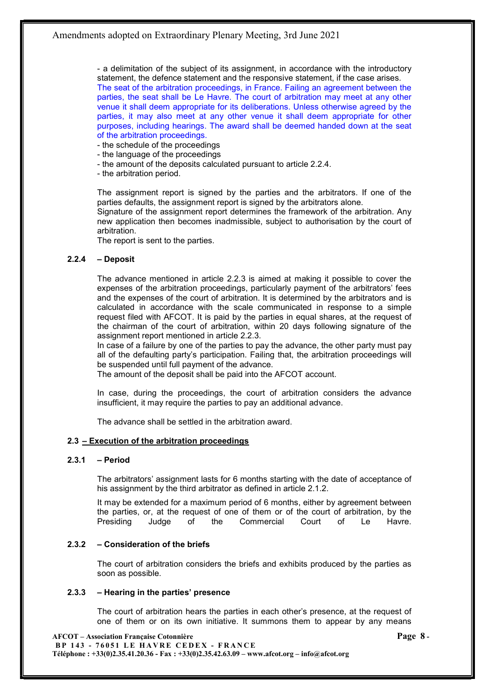- a delimitation of the subject of its assignment, in accordance with the introductory statement, the defence statement and the responsive statement, if the case arises. The seat of the arbitration proceedings, in France. Failing an agreement between the parties, the seat shall be Le Havre. The court of arbitration may meet at any other venue it shall deem appropriate for its deliberations. Unless otherwise agreed by the parties, it may also meet at any other venue it shall deem appropriate for other purposes, including hearings. The award shall be deemed handed down at the seat of the arbitration proceedings.

- the schedule of the proceedings
- the language of the proceedings
- the amount of the deposits calculated pursuant to article 2.2.4.
- the arbitration period.

The assignment report is signed by the parties and the arbitrators. If one of the parties defaults, the assignment report is signed by the arbitrators alone. Signature of the assignment report determines the framework of the arbitration. Any

new application then becomes inadmissible, subject to authorisation by the court of arbitration.

The report is sent to the parties.

#### 2.2.4 – Deposit

The advance mentioned in article 2.2.3 is aimed at making it possible to cover the expenses of the arbitration proceedings, particularly payment of the arbitrators' fees and the expenses of the court of arbitration. It is determined by the arbitrators and is calculated in accordance with the scale communicated in response to a simple request filed with AFCOT. It is paid by the parties in equal shares, at the request of the chairman of the court of arbitration, within 20 days following signature of the assignment report mentioned in article 2.2.3.

In case of a failure by one of the parties to pay the advance, the other party must pay all of the defaulting party's participation. Failing that, the arbitration proceedings will be suspended until full payment of the advance.

The amount of the deposit shall be paid into the AFCOT account.

In case, during the proceedings, the court of arbitration considers the advance insufficient, it may require the parties to pay an additional advance.

The advance shall be settled in the arbitration award.

#### 2.3 – Execution of the arbitration proceedings

#### 2.3.1 – Period

The arbitrators' assignment lasts for 6 months starting with the date of acceptance of his assignment by the third arbitrator as defined in article 2.1.2.

It may be extended for a maximum period of 6 months, either by agreement between the parties, or, at the request of one of them or of the court of arbitration, by the Presiding Judge of the Commercial Court of Le Havre.

## 2.3.2 – Consideration of the briefs

The court of arbitration considers the briefs and exhibits produced by the parties as soon as possible.

#### 2.3.3 – Hearing in the parties' presence

The court of arbitration hears the parties in each other's presence, at the request of one of them or on its own initiative. It summons them to appear by any means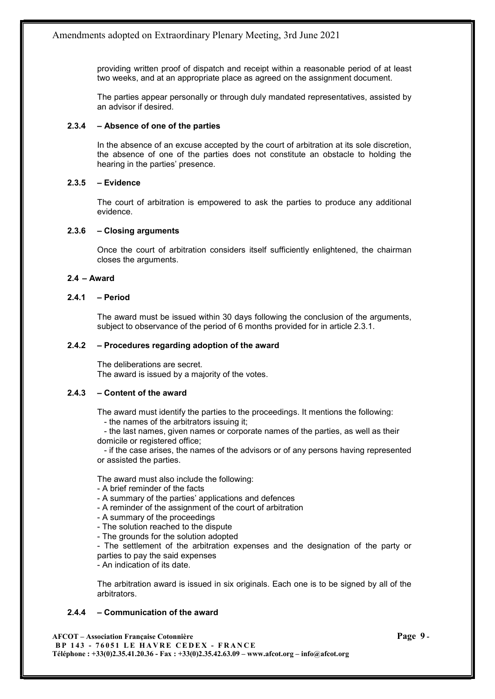providing written proof of dispatch and receipt within a reasonable period of at least two weeks, and at an appropriate place as agreed on the assignment document.

The parties appear personally or through duly mandated representatives, assisted by an advisor if desired.

## 2.3.4 – Absence of one of the parties

In the absence of an excuse accepted by the court of arbitration at its sole discretion, the absence of one of the parties does not constitute an obstacle to holding the hearing in the parties' presence.

## 2.3.5 – Evidence

The court of arbitration is empowered to ask the parties to produce any additional evidence.

#### 2.3.6 – Closing arguments

Once the court of arbitration considers itself sufficiently enlightened, the chairman closes the arguments.

## 2.4 – Award

## 2.4.1 – Period

The award must be issued within 30 days following the conclusion of the arguments, subject to observance of the period of 6 months provided for in article 2.3.1.

## 2.4.2 – Procedures regarding adoption of the award

The deliberations are secret. The award is issued by a majority of the votes.

#### 2.4.3 – Content of the award

The award must identify the parties to the proceedings. It mentions the following:

- the names of the arbitrators issuing it;

 - the last names, given names or corporate names of the parties, as well as their domicile or registered office;

 - if the case arises, the names of the advisors or of any persons having represented or assisted the parties.

The award must also include the following:

- A brief reminder of the facts
- A summary of the parties' applications and defences
- A reminder of the assignment of the court of arbitration
- A summary of the proceedings
- The solution reached to the dispute
- The grounds for the solution adopted

- The settlement of the arbitration expenses and the designation of the party or parties to pay the said expenses

- An indication of its date.

The arbitration award is issued in six originals. Each one is to be signed by all of the arbitrators.

## 2.4.4 – Communication of the award

AFCOT – Association Française Cotonnière Page 9 - BP 143 - 76051 LE HAVRE CEDEX - FRANCE Téléphone : +33(0)2.35.41.20.36 - Fax : +33(0)2.35.42.63.09 – www.afcot.org – info@afcot.org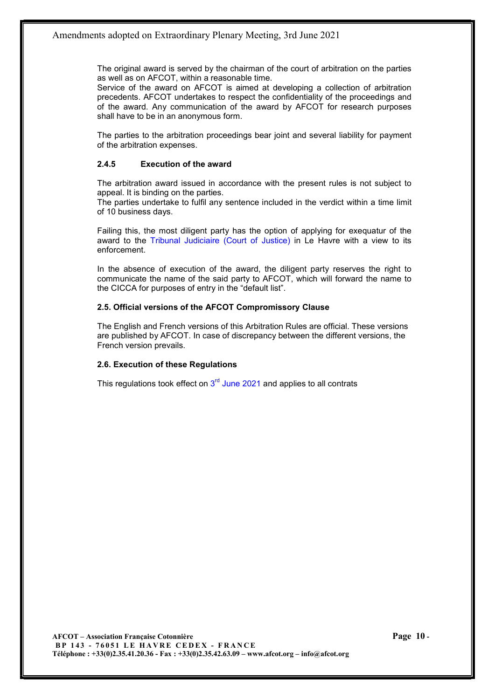The original award is served by the chairman of the court of arbitration on the parties as well as on AFCOT, within a reasonable time.

Service of the award on AFCOT is aimed at developing a collection of arbitration precedents. AFCOT undertakes to respect the confidentiality of the proceedings and of the award. Any communication of the award by AFCOT for research purposes shall have to be in an anonymous form.

The parties to the arbitration proceedings bear joint and several liability for payment of the arbitration expenses.

## 2.4.5 Execution of the award

The arbitration award issued in accordance with the present rules is not subject to appeal. It is binding on the parties.

The parties undertake to fulfil any sentence included in the verdict within a time limit of 10 business days.

Failing this, the most diligent party has the option of applying for exequatur of the award to the Tribunal Judiciaire (Court of Justice) in Le Havre with a view to its enforcement.

In the absence of execution of the award, the diligent party reserves the right to communicate the name of the said party to AFCOT, which will forward the name to the CICCA for purposes of entry in the "default list".

## 2.5. Official versions of the AFCOT Compromissory Clause

The English and French versions of this Arbitration Rules are official. These versions are published by AFCOT. In case of discrepancy between the different versions, the French version prevails.

## 2.6. Execution of these Regulations

This regulations took effect on  $3<sup>rd</sup>$  June 2021 and applies to all contrats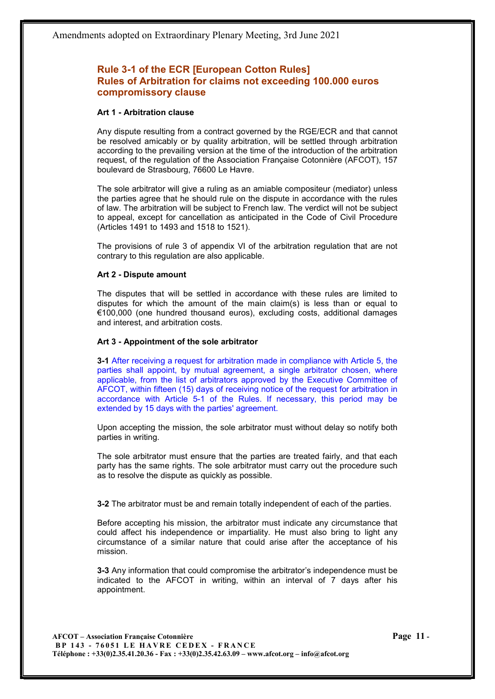# Rule 3-1 of the ECR [European Cotton Rules] Rules of Arbitration for claims not exceeding 100.000 euros compromissory clause

#### Art 1 - Arbitration clause

Any dispute resulting from a contract governed by the RGE/ECR and that cannot be resolved amicably or by quality arbitration, will be settled through arbitration according to the prevailing version at the time of the introduction of the arbitration request, of the regulation of the Association Française Cotonnière (AFCOT), 157 boulevard de Strasbourg, 76600 Le Havre.

The sole arbitrator will give a ruling as an amiable compositeur (mediator) unless the parties agree that he should rule on the dispute in accordance with the rules of law. The arbitration will be subject to French law. The verdict will not be subject to appeal, except for cancellation as anticipated in the Code of Civil Procedure (Articles 1491 to 1493 and 1518 to 1521).

The provisions of rule 3 of appendix VI of the arbitration regulation that are not contrary to this regulation are also applicable.

#### Art 2 - Dispute amount

The disputes that will be settled in accordance with these rules are limited to disputes for which the amount of the main claim(s) is less than or equal to €100,000 (one hundred thousand euros), excluding costs, additional damages and interest, and arbitration costs.

#### Art 3 - Appointment of the sole arbitrator

3-1 After receiving a request for arbitration made in compliance with Article 5, the parties shall appoint, by mutual agreement, a single arbitrator chosen, where applicable, from the list of arbitrators approved by the Executive Committee of AFCOT, within fifteen (15) days of receiving notice of the request for arbitration in accordance with Article 5-1 of the Rules. If necessary, this period may be extended by 15 days with the parties' agreement.

Upon accepting the mission, the sole arbitrator must without delay so notify both parties in writing.

The sole arbitrator must ensure that the parties are treated fairly, and that each party has the same rights. The sole arbitrator must carry out the procedure such as to resolve the dispute as quickly as possible.

3-2 The arbitrator must be and remain totally independent of each of the parties.

Before accepting his mission, the arbitrator must indicate any circumstance that could affect his independence or impartiality. He must also bring to light any circumstance of a similar nature that could arise after the acceptance of his mission.

3-3 Any information that could compromise the arbitrator's independence must be indicated to the AFCOT in writing, within an interval of 7 days after his appointment.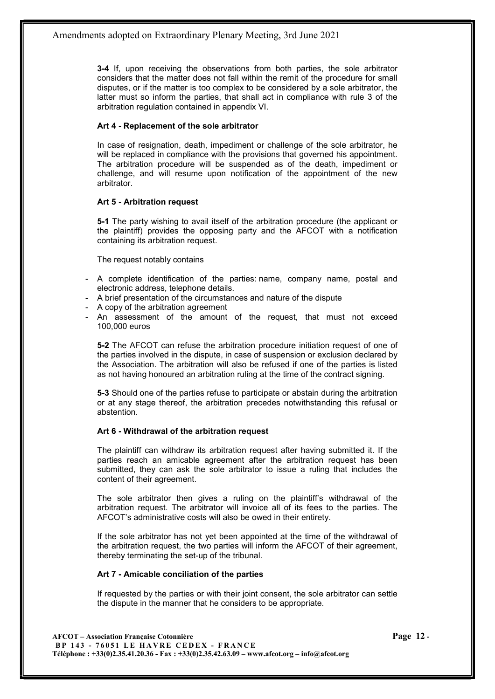3-4 If, upon receiving the observations from both parties, the sole arbitrator considers that the matter does not fall within the remit of the procedure for small disputes, or if the matter is too complex to be considered by a sole arbitrator, the latter must so inform the parties, that shall act in compliance with rule 3 of the arbitration regulation contained in appendix VI.

## Art 4 - Replacement of the sole arbitrator

In case of resignation, death, impediment or challenge of the sole arbitrator, he will be replaced in compliance with the provisions that governed his appointment. The arbitration procedure will be suspended as of the death, impediment or challenge, and will resume upon notification of the appointment of the new arbitrator.

## Art 5 - Arbitration request

5-1 The party wishing to avail itself of the arbitration procedure (the applicant or the plaintiff) provides the opposing party and the AFCOT with a notification containing its arbitration request.

The request notably contains

- A complete identification of the parties: name, company name, postal and electronic address, telephone details.
- A brief presentation of the circumstances and nature of the dispute
- A copy of the arbitration agreement
- An assessment of the amount of the request, that must not exceed 100,000 euros

5-2 The AFCOT can refuse the arbitration procedure initiation request of one of the parties involved in the dispute, in case of suspension or exclusion declared by the Association. The arbitration will also be refused if one of the parties is listed as not having honoured an arbitration ruling at the time of the contract signing.

5-3 Should one of the parties refuse to participate or abstain during the arbitration or at any stage thereof, the arbitration precedes notwithstanding this refusal or abstention.

## Art 6 - Withdrawal of the arbitration request

The plaintiff can withdraw its arbitration request after having submitted it. If the parties reach an amicable agreement after the arbitration request has been submitted, they can ask the sole arbitrator to issue a ruling that includes the content of their agreement.

The sole arbitrator then gives a ruling on the plaintiff's withdrawal of the arbitration request. The arbitrator will invoice all of its fees to the parties. The AFCOT's administrative costs will also be owed in their entirety.

If the sole arbitrator has not yet been appointed at the time of the withdrawal of the arbitration request, the two parties will inform the AFCOT of their agreement, thereby terminating the set-up of the tribunal.

## Art 7 - Amicable conciliation of the parties

If requested by the parties or with their joint consent, the sole arbitrator can settle the dispute in the manner that he considers to be appropriate.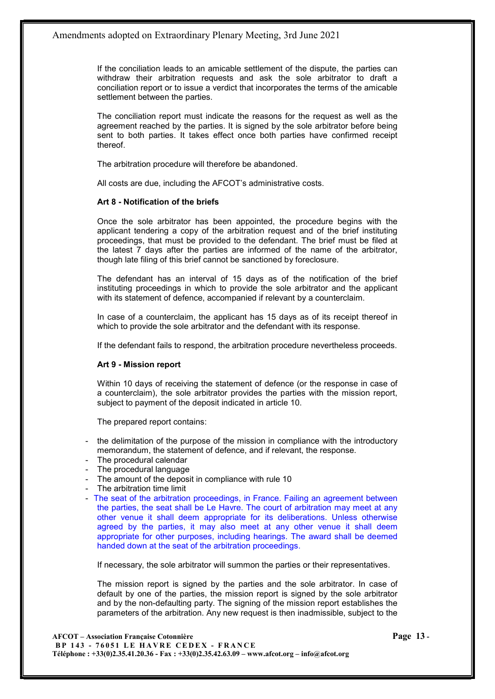If the conciliation leads to an amicable settlement of the dispute, the parties can withdraw their arbitration requests and ask the sole arbitrator to draft a conciliation report or to issue a verdict that incorporates the terms of the amicable settlement between the parties.

The conciliation report must indicate the reasons for the request as well as the agreement reached by the parties. It is signed by the sole arbitrator before being sent to both parties. It takes effect once both parties have confirmed receipt thereof.

The arbitration procedure will therefore be abandoned.

All costs are due, including the AFCOT's administrative costs.

#### Art 8 - Notification of the briefs

Once the sole arbitrator has been appointed, the procedure begins with the applicant tendering a copy of the arbitration request and of the brief instituting proceedings, that must be provided to the defendant. The brief must be filed at the latest 7 days after the parties are informed of the name of the arbitrator, though late filing of this brief cannot be sanctioned by foreclosure.

The defendant has an interval of 15 days as of the notification of the brief instituting proceedings in which to provide the sole arbitrator and the applicant with its statement of defence, accompanied if relevant by a counterclaim.

In case of a counterclaim, the applicant has 15 days as of its receipt thereof in which to provide the sole arbitrator and the defendant with its response.

If the defendant fails to respond, the arbitration procedure nevertheless proceeds.

#### Art 9 - Mission report

Within 10 days of receiving the statement of defence (or the response in case of a counterclaim), the sole arbitrator provides the parties with the mission report, subject to payment of the deposit indicated in article 10.

The prepared report contains:

- the delimitation of the purpose of the mission in compliance with the introductory memorandum, the statement of defence, and if relevant, the response.
- The procedural calendar
- The procedural language
- The amount of the deposit in compliance with rule 10
- The arbitration time limit
- The seat of the arbitration proceedings, in France. Failing an agreement between the parties, the seat shall be Le Havre. The court of arbitration may meet at any other venue it shall deem appropriate for its deliberations. Unless otherwise agreed by the parties, it may also meet at any other venue it shall deem appropriate for other purposes, including hearings. The award shall be deemed handed down at the seat of the arbitration proceedings.

If necessary, the sole arbitrator will summon the parties or their representatives.

The mission report is signed by the parties and the sole arbitrator. In case of default by one of the parties, the mission report is signed by the sole arbitrator and by the non-defaulting party. The signing of the mission report establishes the parameters of the arbitration. Any new request is then inadmissible, subject to the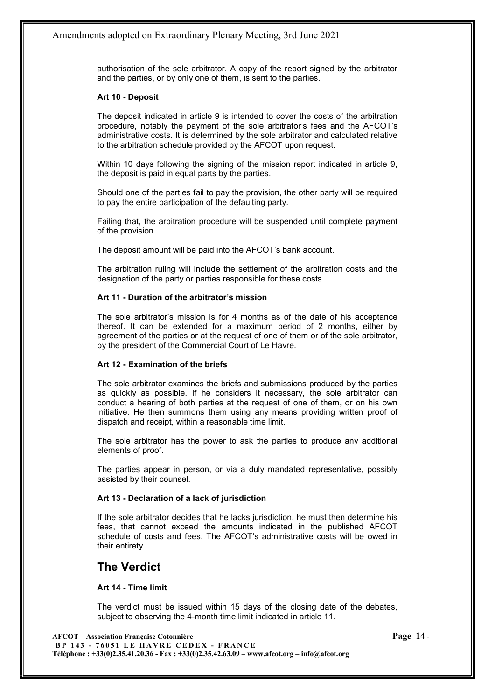authorisation of the sole arbitrator. A copy of the report signed by the arbitrator and the parties, or by only one of them, is sent to the parties.

#### Art 10 - Deposit

The deposit indicated in article 9 is intended to cover the costs of the arbitration procedure, notably the payment of the sole arbitrator's fees and the AFCOT's administrative costs. It is determined by the sole arbitrator and calculated relative to the arbitration schedule provided by the AFCOT upon request.

Within 10 days following the signing of the mission report indicated in article 9, the deposit is paid in equal parts by the parties.

Should one of the parties fail to pay the provision, the other party will be required to pay the entire participation of the defaulting party.

Failing that, the arbitration procedure will be suspended until complete payment of the provision.

The deposit amount will be paid into the AFCOT's bank account.

The arbitration ruling will include the settlement of the arbitration costs and the designation of the party or parties responsible for these costs.

## Art 11 - Duration of the arbitrator's mission

The sole arbitrator's mission is for 4 months as of the date of his acceptance thereof. It can be extended for a maximum period of 2 months, either by agreement of the parties or at the request of one of them or of the sole arbitrator, by the president of the Commercial Court of Le Havre.

## Art 12 - Examination of the briefs

The sole arbitrator examines the briefs and submissions produced by the parties as quickly as possible. If he considers it necessary, the sole arbitrator can conduct a hearing of both parties at the request of one of them, or on his own initiative. He then summons them using any means providing written proof of dispatch and receipt, within a reasonable time limit.

The sole arbitrator has the power to ask the parties to produce any additional elements of proof.

The parties appear in person, or via a duly mandated representative, possibly assisted by their counsel.

## Art 13 - Declaration of a lack of jurisdiction

If the sole arbitrator decides that he lacks jurisdiction, he must then determine his fees, that cannot exceed the amounts indicated in the published AFCOT schedule of costs and fees. The AFCOT's administrative costs will be owed in their entirety.

# The Verdict

## Art 14 - Time limit

The verdict must be issued within 15 days of the closing date of the debates, subject to observing the 4-month time limit indicated in article 11.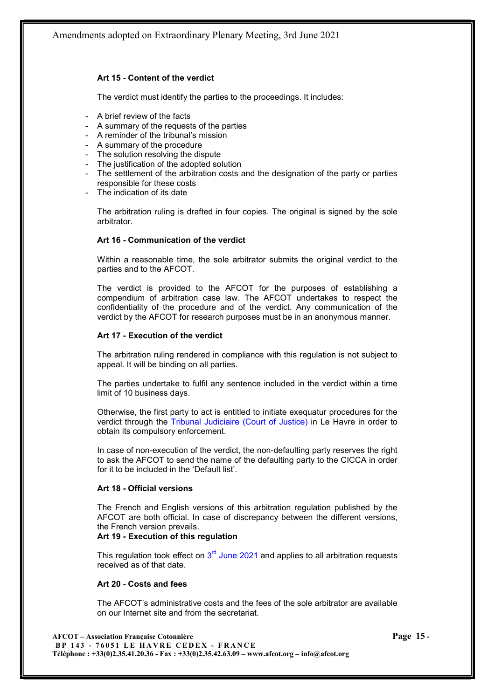Amendments adopted on Extraordinary Plenary Meeting, 3rd June 2021

## Art 15 - Content of the verdict

The verdict must identify the parties to the proceedings. It includes:

- A brief review of the facts
- A summary of the requests of the parties
- A reminder of the tribunal's mission
- A summary of the procedure
- The solution resolving the dispute
- The justification of the adopted solution
- The settlement of the arbitration costs and the designation of the party or parties responsible for these costs
- The indication of its date

The arbitration ruling is drafted in four copies. The original is signed by the sole arbitrator.

#### Art 16 - Communication of the verdict

Within a reasonable time, the sole arbitrator submits the original verdict to the parties and to the AFCOT.

The verdict is provided to the AFCOT for the purposes of establishing a compendium of arbitration case law. The AFCOT undertakes to respect the confidentiality of the procedure and of the verdict. Any communication of the verdict by the AFCOT for research purposes must be in an anonymous manner.

#### Art 17 - Execution of the verdict

The arbitration ruling rendered in compliance with this regulation is not subject to appeal. It will be binding on all parties.

The parties undertake to fulfil any sentence included in the verdict within a time limit of 10 business days.

Otherwise, the first party to act is entitled to initiate exequatur procedures for the verdict through the Tribunal Judiciaire (Court of Justice) in Le Havre in order to obtain its compulsory enforcement.

In case of non-execution of the verdict, the non-defaulting party reserves the right to ask the AFCOT to send the name of the defaulting party to the CICCA in order for it to be included in the 'Default list'.

#### Art 18 - Official versions

The French and English versions of this arbitration regulation published by the AFCOT are both official. In case of discrepancy between the different versions, the French version prevails.

#### Art 19 - Execution of this regulation

This regulation took effect on  $3<sup>rd</sup>$  June 2021 and applies to all arbitration requests received as of that date.

#### Art 20 - Costs and fees

The AFCOT's administrative costs and the fees of the sole arbitrator are available on our Internet site and from the secretariat.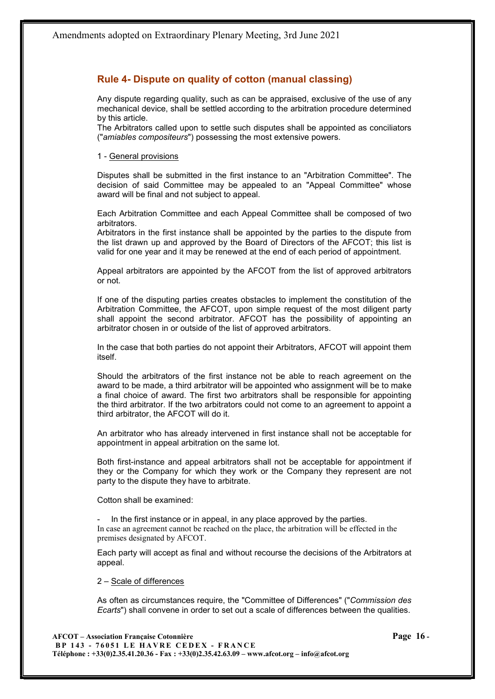# Rule 4- Dispute on quality of cotton (manual classing)

Any dispute regarding quality, such as can be appraised, exclusive of the use of any mechanical device, shall be settled according to the arbitration procedure determined by this article.

The Arbitrators called upon to settle such disputes shall be appointed as conciliators ("amiables compositeurs") possessing the most extensive powers.

#### 1 - General provisions

Disputes shall be submitted in the first instance to an "Arbitration Committee". The decision of said Committee may be appealed to an "Appeal Committee" whose award will be final and not subject to appeal.

Each Arbitration Committee and each Appeal Committee shall be composed of two arbitrators.

Arbitrators in the first instance shall be appointed by the parties to the dispute from the list drawn up and approved by the Board of Directors of the AFCOT; this list is valid for one year and it may be renewed at the end of each period of appointment.

Appeal arbitrators are appointed by the AFCOT from the list of approved arbitrators or not.

If one of the disputing parties creates obstacles to implement the constitution of the Arbitration Committee, the AFCOT, upon simple request of the most diligent party shall appoint the second arbitrator. AFCOT has the possibility of appointing an arbitrator chosen in or outside of the list of approved arbitrators.

In the case that both parties do not appoint their Arbitrators, AFCOT will appoint them itself.

Should the arbitrators of the first instance not be able to reach agreement on the award to be made, a third arbitrator will be appointed who assignment will be to make a final choice of award. The first two arbitrators shall be responsible for appointing the third arbitrator. If the two arbitrators could not come to an agreement to appoint a third arbitrator, the AFCOT will do it.

An arbitrator who has already intervened in first instance shall not be acceptable for appointment in appeal arbitration on the same lot.

Both first-instance and appeal arbitrators shall not be acceptable for appointment if they or the Company for which they work or the Company they represent are not party to the dispute they have to arbitrate.

Cotton shall be examined:

In the first instance or in appeal, in any place approved by the parties. In case an agreement cannot be reached on the place, the arbitration will be effected in the premises designated by AFCOT.

Each party will accept as final and without recourse the decisions of the Arbitrators at appeal.

#### 2 – Scale of differences

As often as circumstances require, the "Committee of Differences" ("Commission des Ecarts") shall convene in order to set out a scale of differences between the qualities.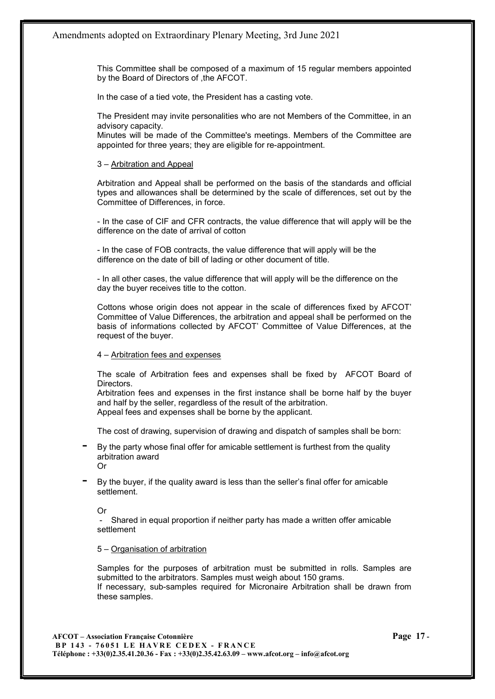This Committee shall be composed of a maximum of 15 regular members appointed by the Board of Directors of ,the AFCOT.

In the case of a tied vote, the President has a casting vote.

The President may invite personalities who are not Members of the Committee, in an advisory capacity.

Minutes will be made of the Committee's meetings. Members of the Committee are appointed for three years; they are eligible for re-appointment.

#### 3 – Arbitration and Appeal

Arbitration and Appeal shall be performed on the basis of the standards and official types and allowances shall be determined by the scale of differences, set out by the Committee of Differences, in force.

- In the case of CIF and CFR contracts, the value difference that will apply will be the difference on the date of arrival of cotton

- In the case of FOB contracts, the value difference that will apply will be the difference on the date of bill of lading or other document of title.

- In all other cases, the value difference that will apply will be the difference on the day the buyer receives title to the cotton.

Cottons whose origin does not appear in the scale of differences fixed by AFCOT' Committee of Value Differences, the arbitration and appeal shall be performed on the basis of informations collected by AFCOT' Committee of Value Differences, at the request of the buyer.

#### 4 – Arbitration fees and expenses

The scale of Arbitration fees and expenses shall be fixed by AFCOT Board of Directors.

Arbitration fees and expenses in the first instance shall be borne half by the buyer and half by the seller, regardless of the result of the arbitration. Appeal fees and expenses shall be borne by the applicant.

The cost of drawing, supervision of drawing and dispatch of samples shall be born:

By the party whose final offer for amicable settlement is furthest from the quality arbitration award

Or

By the buyer, if the quality award is less than the seller's final offer for amicable settlement.

Or

Shared in equal proportion if neither party has made a written offer amicable settlement

#### 5 – Organisation of arbitration

Samples for the purposes of arbitration must be submitted in rolls. Samples are submitted to the arbitrators. Samples must weigh about 150 grams. If necessary, sub-samples required for Micronaire Arbitration shall be drawn from these samples.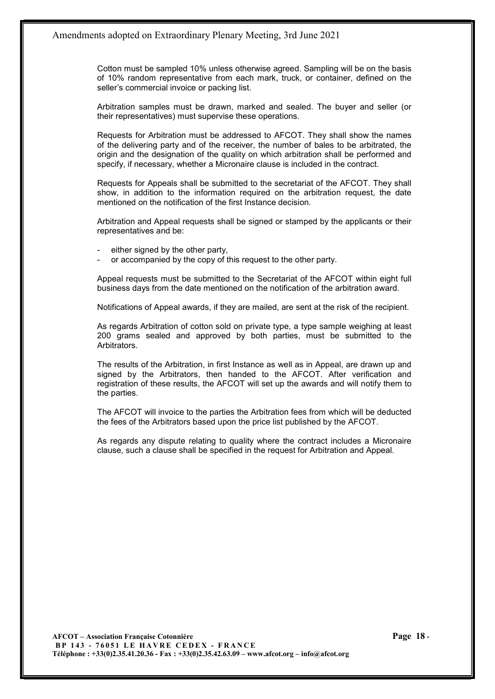Cotton must be sampled 10% unless otherwise agreed. Sampling will be on the basis of 10% random representative from each mark, truck, or container, defined on the seller's commercial invoice or packing list.

Arbitration samples must be drawn, marked and sealed. The buyer and seller (or their representatives) must supervise these operations.

Requests for Arbitration must be addressed to AFCOT. They shall show the names of the delivering party and of the receiver, the number of bales to be arbitrated, the origin and the designation of the quality on which arbitration shall be performed and specify, if necessary, whether a Micronaire clause is included in the contract.

Requests for Appeals shall be submitted to the secretariat of the AFCOT. They shall show, in addition to the information required on the arbitration request, the date mentioned on the notification of the first Instance decision.

Arbitration and Appeal requests shall be signed or stamped by the applicants or their representatives and be:

- either signed by the other party,
- or accompanied by the copy of this request to the other party.

Appeal requests must be submitted to the Secretariat of the AFCOT within eight full business days from the date mentioned on the notification of the arbitration award.

Notifications of Appeal awards, if they are mailed, are sent at the risk of the recipient.

As regards Arbitration of cotton sold on private type, a type sample weighing at least 200 grams sealed and approved by both parties, must be submitted to the Arbitrators.

The results of the Arbitration, in first Instance as well as in Appeal, are drawn up and signed by the Arbitrators, then handed to the AFCOT. After verification and registration of these results, the AFCOT will set up the awards and will notify them to the parties.

The AFCOT will invoice to the parties the Arbitration fees from which will be deducted the fees of the Arbitrators based upon the price list published by the AFCOT.

As regards any dispute relating to quality where the contract includes a Micronaire clause, such a clause shall be specified in the request for Arbitration and Appeal.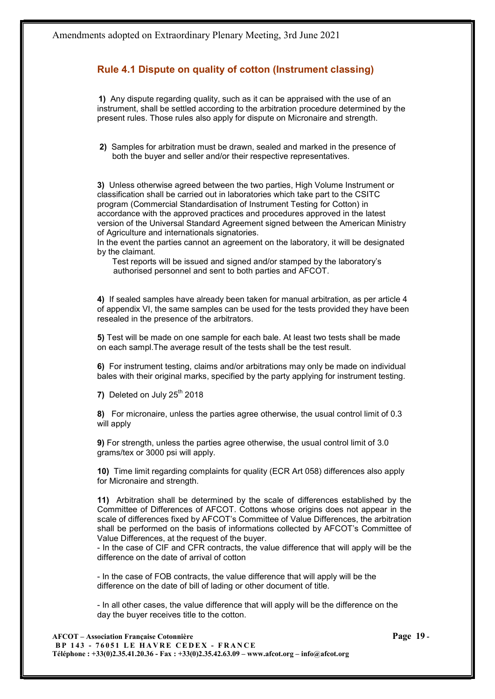# Rule 4.1 Dispute on quality of cotton (Instrument classing)

1) Any dispute regarding quality, such as it can be appraised with the use of an instrument, shall be settled according to the arbitration procedure determined by the present rules. Those rules also apply for dispute on Micronaire and strength.

 2) Samples for arbitration must be drawn, sealed and marked in the presence of both the buyer and seller and/or their respective representatives.

3) Unless otherwise agreed between the two parties, High Volume Instrument or classification shall be carried out in laboratories which take part to the CSITC program (Commercial Standardisation of Instrument Testing for Cotton) in accordance with the approved practices and procedures approved in the latest version of the Universal Standard Agreement signed between the American Ministry of Agriculture and internationals signatories.

In the event the parties cannot an agreement on the laboratory, it will be designated by the claimant.

Test reports will be issued and signed and/or stamped by the laboratory's authorised personnel and sent to both parties and AFCOT.

4) If sealed samples have already been taken for manual arbitration, as per article 4 of appendix VI, the same samples can be used for the tests provided they have been resealed in the presence of the arbitrators.

5) Test will be made on one sample for each bale. At least two tests shall be made on each sampl.The average result of the tests shall be the test result.

6) For instrument testing, claims and/or arbitrations may only be made on individual bales with their original marks, specified by the party applying for instrument testing.

7) Deleted on July  $25<sup>th</sup>$  2018

8) For micronaire, unless the parties agree otherwise, the usual control limit of 0.3 will apply

9) For strength, unless the parties agree otherwise, the usual control limit of 3.0 grams/tex or 3000 psi will apply.

10) Time limit regarding complaints for quality (ECR Art 058) differences also apply for Micronaire and strength.

11) Arbitration shall be determined by the scale of differences established by the Committee of Differences of AFCOT. Cottons whose origins does not appear in the scale of differences fixed by AFCOT's Committee of Value Differences, the arbitration shall be performed on the basis of informations collected by AFCOT's Committee of Value Differences, at the request of the buyer.

- In the case of CIF and CFR contracts, the value difference that will apply will be the difference on the date of arrival of cotton

- In the case of FOB contracts, the value difference that will apply will be the difference on the date of bill of lading or other document of title.

- In all other cases, the value difference that will apply will be the difference on the day the buyer receives title to the cotton.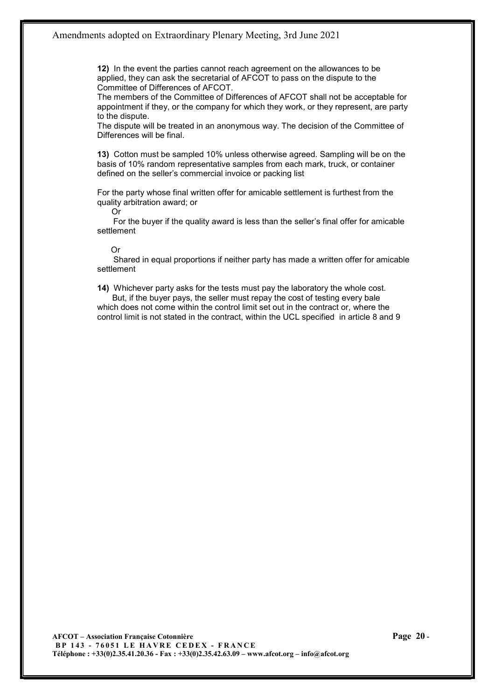12) In the event the parties cannot reach agreement on the allowances to be applied, they can ask the secretarial of AFCOT to pass on the dispute to the Committee of Differences of AFCOT.

The members of the Committee of Differences of AFCOT shall not be acceptable for appointment if they, or the company for which they work, or they represent, are party to the dispute.

The dispute will be treated in an anonymous way. The decision of the Committee of Differences will be final.

13) Cotton must be sampled 10% unless otherwise agreed. Sampling will be on the basis of 10% random representative samples from each mark, truck, or container defined on the seller's commercial invoice or packing list

For the party whose final written offer for amicable settlement is furthest from the quality arbitration award; or

Or

 For the buyer if the quality award is less than the seller's final offer for amicable settlement

## Or

 Shared in equal proportions if neither party has made a written offer for amicable settlement

14) Whichever party asks for the tests must pay the laboratory the whole cost.

But, if the buyer pays, the seller must repay the cost of testing every bale which does not come within the control limit set out in the contract or, where the control limit is not stated in the contract, within the UCL specified in article 8 and 9